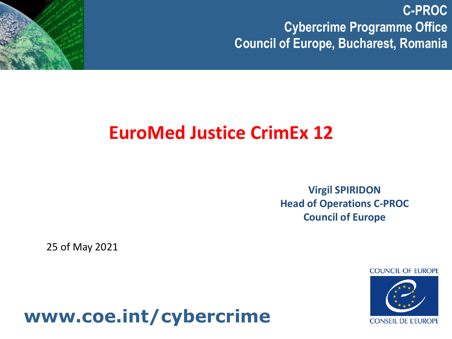

**Virgil SPIRIDON Head of Operations C-PROC Council of Europe**

25 of May 2021

**COUNCIL OF EUROPE** 



# **www.coe.int/cybercrime**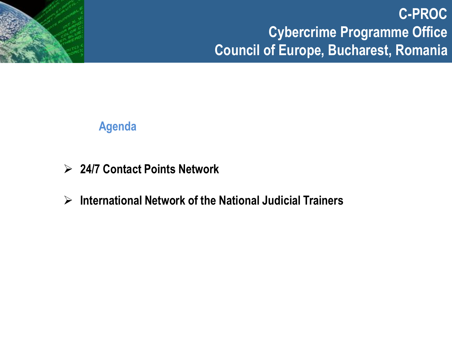

### **Agenda**

- ➢ **24/7 Contact Points Network**
- ➢ **International Network of the National Judicial Trainers**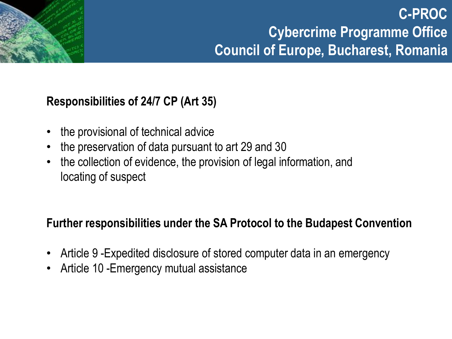### **Responsibilities of 24/7 CP (Art 35)**

- the provisional of technical advice
- the preservation of data pursuant to art 29 and 30
- the collection of evidence, the provision of legal information, and locating of suspect

### **Further responsibilities under the SA Protocol to the Budapest Convention**

- Article 9 -Expedited disclosure of stored computer data in an emergency
- Article 10 -Emergency mutual assistance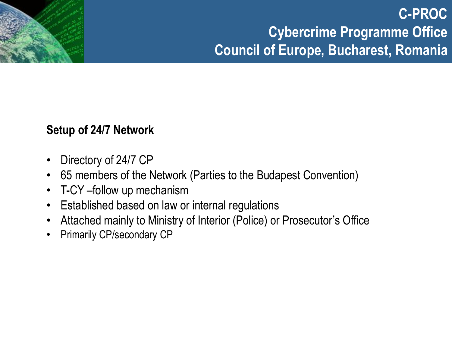### **Setup of 24/7 Network**

- Directory of 24/7 CP
- 65 members of the Network (Parties to the Budapest Convention)
- T-CY –follow up mechanism
- Established based on law or internal regulations
- Attached mainly to Ministry of Interior (Police) or Prosecutor's Office
- Primarily CP/secondary CP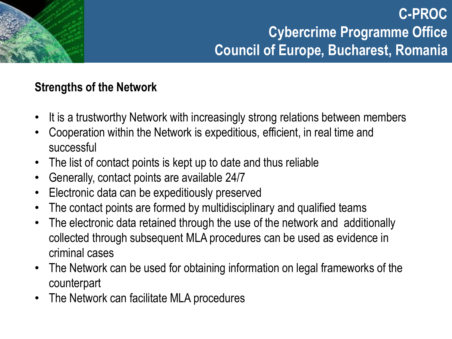### **Strengths of the Network**

- It is a trustworthy Network with increasingly strong relations between members
- Cooperation within the Network is expeditious, efficient, in real time and successful
- The list of contact points is kept up to date and thus reliable
- Generally, contact points are available 24/7
- Electronic data can be expeditiously preserved
- The contact points are formed by multidisciplinary and qualified teams
- The electronic data retained through the use of the network and additionally collected through subsequent MLA procedures can be used as evidence in criminal cases
- The Network can be used for obtaining information on legal frameworks of the counterpart
- The Network can facilitate MLA procedures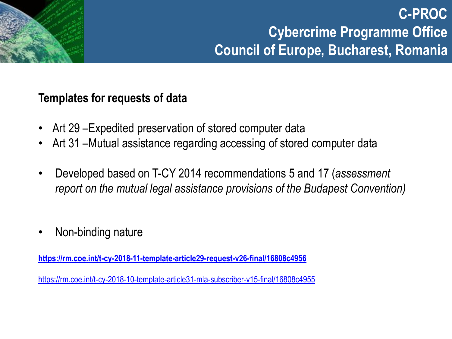### **Templates for requests of data**

- Art 29 –Expedited preservation of stored computer data
- Art 31 –Mutual assistance regarding accessing of stored computer data
- Developed based on T-CY 2014 recommendations 5 and 17 (*assessment report on the mutual legal assistance provisions of the Budapest Convention)*
- Non-binding nature

**<https://rm.coe.int/t-cy-2018-11-template-article29-request-v26-final/16808c4956>**

<https://rm.coe.int/t-cy-2018-10-template-article31-mla-subscriber-v15-final/16808c4955>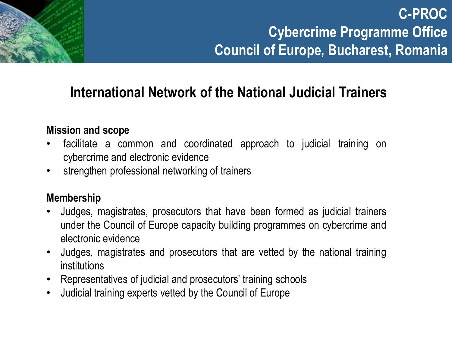# **International Network of the National Judicial Trainers**

### **Mission and scope**

- facilitate a common and coordinated approach to judicial training on cybercrime and electronic evidence
- strengthen professional networking of trainers

### **Membership**

- Judges, magistrates, prosecutors that have been formed as judicial trainers under the Council of Europe capacity building programmes on cybercrime and electronic evidence
- Judges, magistrates and prosecutors that are vetted by the national training institutions
- Representatives of judicial and prosecutors' training schools
- Judicial training experts vetted by the Council of Europe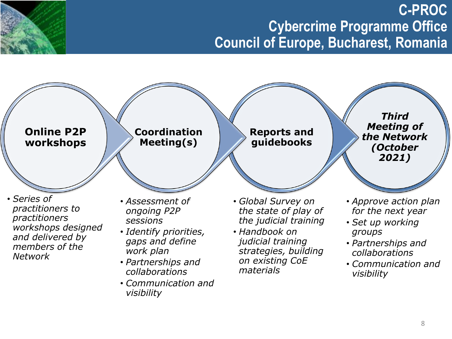### **Short term action plan – 2021 Cybercrime Programme Office C-PROC Council of Europe, Bucharest, Romania**

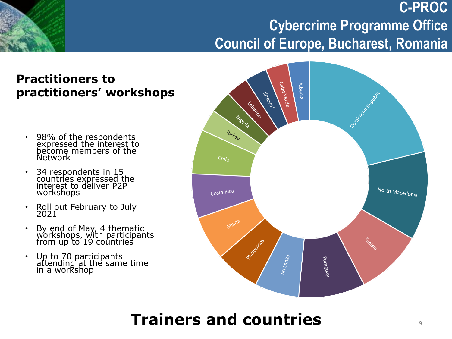### **Practitioners to practitioners' workshops**

- 98% of the respondents expressed the interest to become members of the **Network**
- 34 respondents in 15 countries expressed the interest to deliver P2P workshops
- Roll out February to July 2021
- By end of May, 4 thematic workshops, with participants from up to 19 countries
- Up to 70 participants attending at the same time in a workshop



# **Trainers and countries**